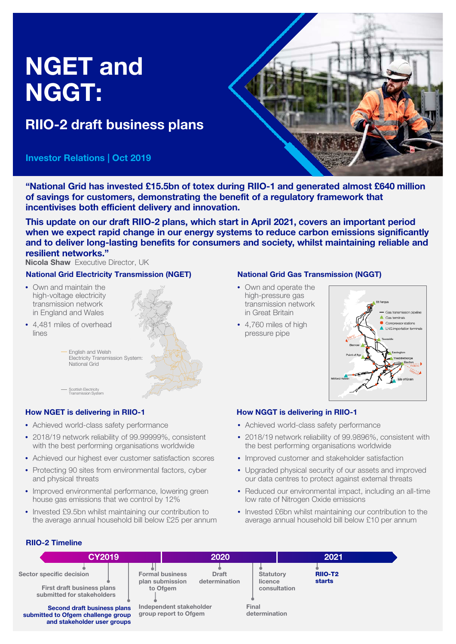# NGET and NGGT:

# RIIO-2 draft business plans

# Investor Relations | Oct 2019



"National Grid has invested £15.5bn of totex during RIIO-1 and generated almost £640 million of savings for customers, demonstrating the benefit of a regulatory framework that incentivises both efficient delivery and innovation.

This update on our draft RIIO-2 plans, which start in April 2021, covers an important period when we expect rapid change in our energy systems to reduce carbon emissions significantly and to deliver long-lasting benefits for consumers and society, whilst maintaining reliable and resilient networks."

Nicola Shaw Executive Director, UK

# National Grid Electricity Transmission (NGET)

- Own and maintain the high-voltage electricity transmission network in England and Wales
- 4,481 miles of overhead lines

English and Welsh Electricity Transmission System: National Grid



# How NGET is delivering in RIIO-1 How NGGT is delivering in RIIO-1

Scottish Electricity Transmission System

- Achieved world-class safety performance
- 2018/19 network reliability of 99.99999%, consistent with the best performing organisations worldwide
- Achieved our highest ever customer satisfaction scores
- Protecting 90 sites from environmental factors, cyber and physical threats
- Improved environmental performance, lowering green house gas emissions that we control by 12%
- Invested £9.5bn whilst maintaining our contribution to the average annual household bill below £25 per annum

# National Grid Gas Transmission (NGGT)

- Own and operate the high-pressure gas transmission network in Great Britain
- 4,760 miles of high pressure pipe



- Achieved world-class safety performance
- 2018/19 network reliability of 99.9896%, consistent with the best performing organisations worldwide
- Improved customer and stakeholder satisfaction
- Upgraded physical security of our assets and improved our data centres to protect against external threats
- Reduced our environmental impact, including an all-time low rate of Nitrogen Oxide emissions
- Invested £6bn whilst maintaining our contribution to the average annual household bill below £10 per annum

# RIIO-2 Timeline

| CY2019                                                                                           |                                                       | 2020                          |                                             | 2021 |                          |  |
|--------------------------------------------------------------------------------------------------|-------------------------------------------------------|-------------------------------|---------------------------------------------|------|--------------------------|--|
| Sector specific decision<br><b>First draft business plans</b><br>submitted for stakeholders      | <b>Formal business</b><br>plan submission<br>to Ofgem | <b>Draft</b><br>determination | <b>Statutory</b><br>licence<br>consultation |      | <b>RIIO-T2</b><br>starts |  |
| Second draft business plans<br>submitted to Ofgem challenge group<br>and stakeholder user groups | Independent stakeholder<br>group report to Ofgem      |                               | Final<br>determination                      |      |                          |  |